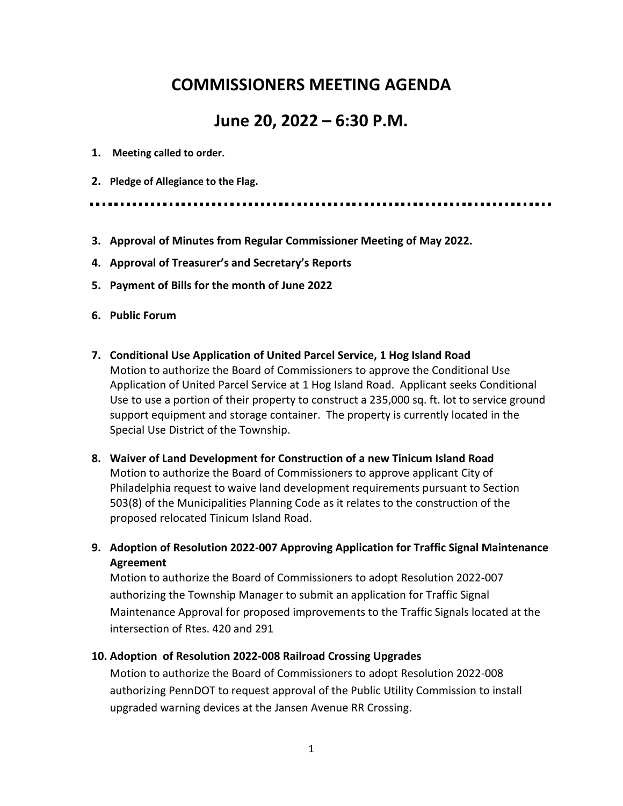# **COMMISSIONERS MEETING AGENDA**

# **June 20, 2022 – 6:30 P.M.**

- **1. Meeting called to order.**
- **2. Pledge of Allegiance to the Flag.**

- **3. Approval of Minutes from Regular Commissioner Meeting of May 2022.**
- **4. Approval of Treasurer's and Secretary's Reports**
- **5. Payment of Bills for the month of June 2022**
- **6. Public Forum**
- **7. Conditional Use Application of United Parcel Service, 1 Hog Island Road**  Motion to authorize the Board of Commissioners to approve the Conditional Use Application of United Parcel Service at 1 Hog Island Road. Applicant seeks Conditional Use to use a portion of their property to construct a 235,000 sq. ft. lot to service ground support equipment and storage container. The property is currently located in the Special Use District of the Township.
- **8. Waiver of Land Development for Construction of a new Tinicum Island Road**  Motion to authorize the Board of Commissioners to approve applicant City of Philadelphia request to waive land development requirements pursuant to Section 503(8) of the Municipalities Planning Code as it relates to the construction of the proposed relocated Tinicum Island Road.
- **9. Adoption of Resolution 2022-007 Approving Application for Traffic Signal Maintenance Agreement**

Motion to authorize the Board of Commissioners to adopt Resolution 2022-007 authorizing the Township Manager to submit an application for Traffic Signal Maintenance Approval for proposed improvements to the Traffic Signals located at the intersection of Rtes. 420 and 291

#### **10. Adoption of Resolution 2022-008 Railroad Crossing Upgrades**

Motion to authorize the Board of Commissioners to adopt Resolution 2022-008 authorizing PennDOT to request approval of the Public Utility Commission to install upgraded warning devices at the Jansen Avenue RR Crossing.